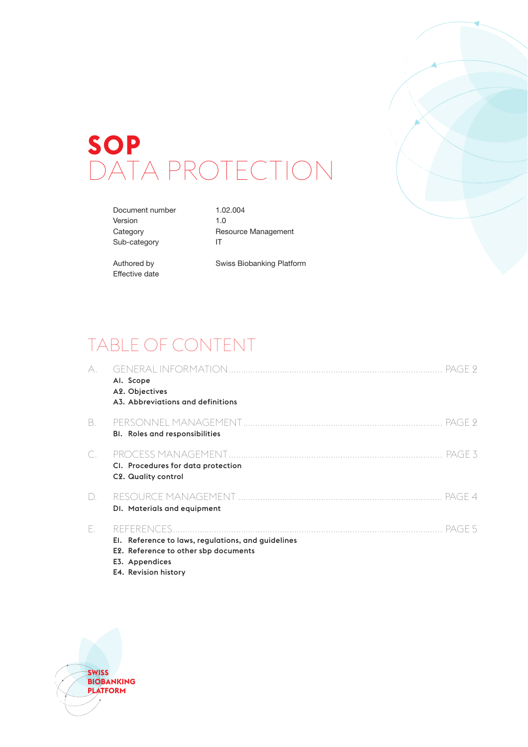# **SOP** DATA PROTECTION

Document number 1.02.004 Version 1.0 Sub-category IT

Category Resource Management

Effective date

Authored by Swiss Biobanking Platform

# TABLE OF CONTENT

| А.                             | Al. Scope<br>A2. Objectives<br>A3. Abbreviations and definitions                                                                               |
|--------------------------------|------------------------------------------------------------------------------------------------------------------------------------------------|
| В.                             | <b>BI.</b> Roles and responsibilities                                                                                                          |
| C.                             | PAGE 3<br>CI. Procedures for data protection<br>C2. Quality control                                                                            |
| $\begin{array}{c} \end{array}$ | PAGE 4<br>DI. Materials and equipment                                                                                                          |
| Е.                             | PAGE 5<br>El. Reference to laws, regulations, and guidelines<br>E2. Reference to other sbp documents<br>E3. Appendices<br>E4. Revision history |

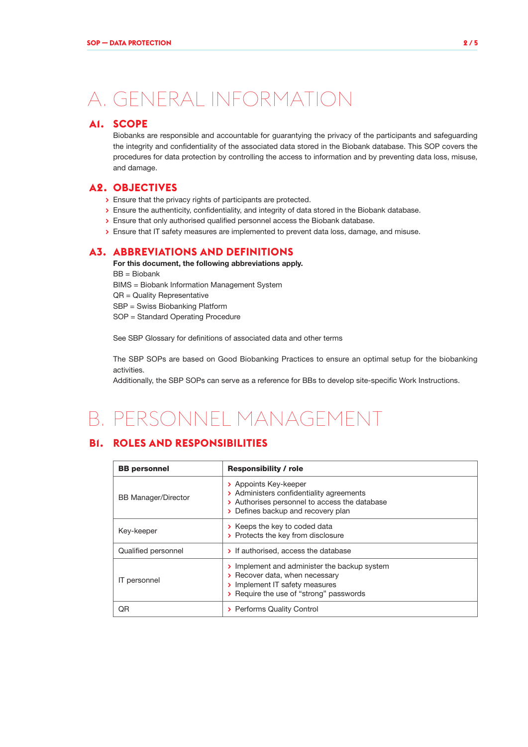# A. GENERAL INFORMATION

### **A1. SCOPE**

Biobanks are responsible and accountable for guarantying the privacy of the participants and safeguarding the integrity and confidentiality of the associated data stored in the Biobank database. This SOP covers the procedures for data protection by controlling the access to information and by preventing data loss, misuse, and damage.

#### **A2. OBJECTIVES**

- **>** Ensure that the privacy rights of participants are protected.
- **>** Ensure the authenticity, confidentiality, and integrity of data stored in the Biobank database.
- **>** Ensure that only authorised qualified personnel access the Biobank database.
- **>** Ensure that IT safety measures are implemented to prevent data loss, damage, and misuse.

### **A3. ABBREVIATIONS AND DEFINITIONS**

For this document, the following abbreviations apply. BB = Biobank BIMS = Biobank Information Management System QR = Quality Representative

SBP = Swiss Biobanking Platform

SOP = Standard Operating Procedure

See SBP Glossary for definitions of associated data and other terms

The SBP SOPs are based on Good Biobanking Practices to ensure an optimal setup for the biobanking activities.

Additionally, the SBP SOPs can serve as a reference for BBs to develop site-specific Work Instructions.

# B. PERSONNEL MANAGEMENT

# **B1. ROLES AND RESPONSIBILITIES**

| <b>BB</b> personnel        | <b>Responsibility / role</b>                                                                                                                                |  |  |
|----------------------------|-------------------------------------------------------------------------------------------------------------------------------------------------------------|--|--|
| <b>BB Manager/Director</b> | > Appoints Key-keeper<br>> Administers confidentiality agreements<br>> Authorises personnel to access the database<br>> Defines backup and recovery plan    |  |  |
| Key-keeper                 | > Keeps the key to coded data<br>> Protects the key from disclosure                                                                                         |  |  |
| Qualified personnel        | > If authorised, access the database                                                                                                                        |  |  |
| IT personnel               | > Implement and administer the backup system<br>> Recover data, when necessary<br>> Implement IT safety measures<br>> Require the use of "strong" passwords |  |  |
| ΟR                         | > Performs Quality Control                                                                                                                                  |  |  |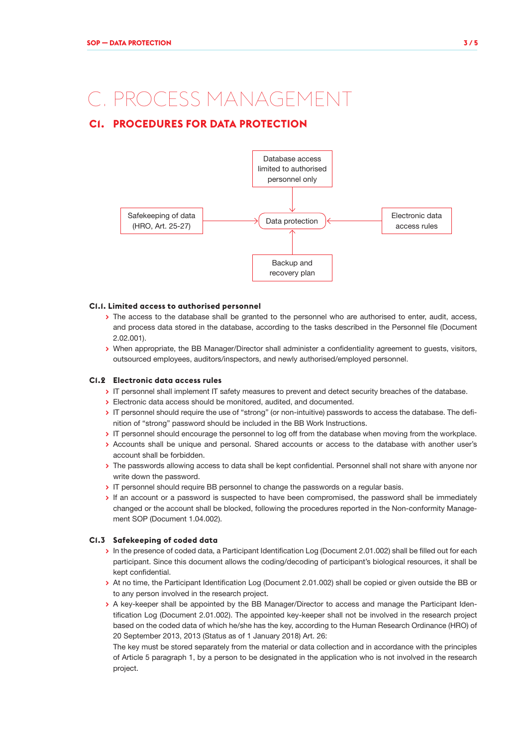# C. PROCESS MANAGEMENT

# **C1. PROCEDURES FOR DATA PROTECTION**



#### **C1.1. Limited access to authorised personnel**

- **>** The access to the database shall be granted to the personnel who are authorised to enter, audit, access, and process data stored in the database, according to the tasks described in the Personnel file (Document 2.02.001).
- **>** When appropriate, the BB Manager/Director shall administer a confidentiality agreement to guests, visitors, outsourced employees, auditors/inspectors, and newly authorised/employed personnel.

#### **C1.2 Electronic data access rules**

- **>** IT personnel shall implement IT safety measures to prevent and detect security breaches of the database.
- **>** Electronic data access should be monitored, audited, and documented.
- **>** IT personnel should require the use of "strong" (or non-intuitive) passwords to access the database. The definition of "strong" password should be included in the BB Work Instructions.
- **>** IT personnel should encourage the personnel to log off from the database when moving from the workplace.
- **>** Accounts shall be unique and personal. Shared accounts or access to the database with another user's account shall be forbidden.
- **>** The passwords allowing access to data shall be kept confidential. Personnel shall not share with anyone nor write down the password.
- **>** IT personnel should require BB personnel to change the passwords on a regular basis.
- **>** If an account or a password is suspected to have been compromised, the password shall be immediately changed or the account shall be blocked, following the procedures reported in the Non-conformity Management SOP (Document 1.04.002).

#### **C1.3 Safekeeping of coded data**

- **>** In the presence of coded data, a Participant Identification Log (Document 2.01.002) shall be filled out for each participant. Since this document allows the coding/decoding of participant's biological resources, it shall be kept confidential.
- **>** At no time, the Participant Identification Log (Document 2.01.002) shall be copied or given outside the BB or to any person involved in the research project.
- **>** A key-keeper shall be appointed by the BB Manager/Director to access and manage the Participant Identification Log (Document 2.01.002). The appointed key-keeper shall not be involved in the research project based on the coded data of which he/she has the key, according to the Human Research Ordinance (HRO) of 20 September 2013, 2013 (Status as of 1 January 2018) Art. 26:

The key must be stored separately from the material or data collection and in accordance with the principles of Article 5 paragraph 1, by a person to be designated in the application who is not involved in the research project.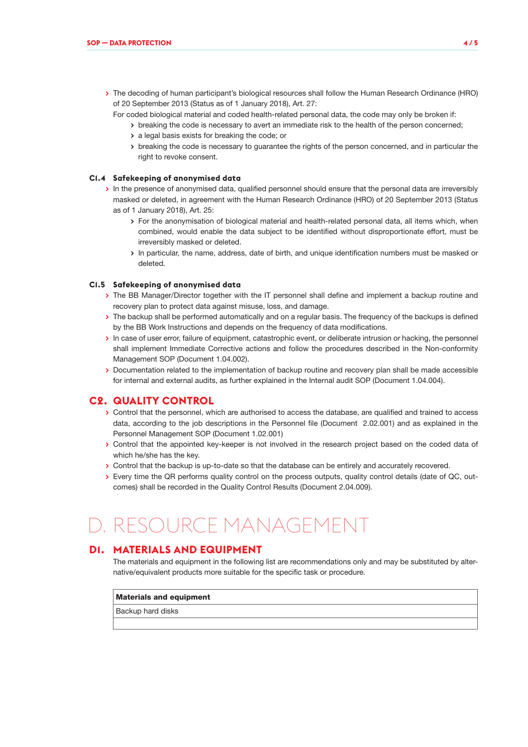- **>** The decoding of human participant's biological resources shall follow the Human Research Ordinance (HRO) of 20 September 2013 (Status as of 1 January 2018), Art. 27:
	- For coded biological material and coded health-related personal data, the code may only be broken if:
		- **>** breaking the code is necessary to avert an immediate risk to the health of the person concerned;
		- **>** a legal basis exists for breaking the code; or
		- **>** breaking the code is necessary to guarantee the rights of the person concerned, and in particular the right to revoke consent.

#### **C1.4 Safekeeping of anonymised data**

- **>** In the presence of anonymised data, qualified personnel should ensure that the personal data are irreversibly masked or deleted, in agreement with the Human Research Ordinance (HRO) of 20 September 2013 (Status as of 1 January 2018), Art. 25:
	- **>** For the anonymisation of biological material and health-related personal data, all items which, when combined, would enable the data subject to be identified without disproportionate effort, must be irreversibly masked or deleted.
	- **>** In particular, the name, address, date of birth, and unique identification numbers must be masked or deleted.

#### **C1.5 Safekeeping of anonymised data**

- **>** The BB Manager/Director together with the IT personnel shall define and implement a backup routine and recovery plan to protect data against misuse, loss, and damage.
- **>** The backup shall be performed automatically and on a regular basis. The frequency of the backups is defined by the BB Work Instructions and depends on the frequency of data modifications.
- **>** In case of user error, failure of equipment, catastrophic event, or deliberate intrusion or hacking, the personnel shall implement Immediate Corrective actions and follow the procedures described in the Non-conformity Management SOP (Document 1.04.002).
- **>** Documentation related to the implementation of backup routine and recovery plan shall be made accessible for internal and external audits, as further explained in the Internal audit SOP (Document 1.04.004).

#### **C2. QUALITY CONTROL**

- **>** Control that the personnel, which are authorised to access the database, are qualified and trained to access data, according to the job descriptions in the Personnel file (Document 2.02.001) and as explained in the Personnel Management SOP (Document 1.02.001)
- **>** Control that the appointed key-keeper is not involved in the research project based on the coded data of which he/she has the key.
- **>** Control that the backup is up-to-date so that the database can be entirely and accurately recovered.
- **>** Every time the QR performs quality control on the process outputs, quality control details (date of QC, outcomes) shall be recorded in the Quality Control Results (Document 2.04.009).

# RESOURCE MANAGEMENT

#### **D1. MATERIALS AND EQUIPMENT**

The materials and equipment in the following list are recommendations only and may be substituted by alternative/equivalent products more suitable for the specific task or procedure.

#### Materials and equipment

Backup hard disks